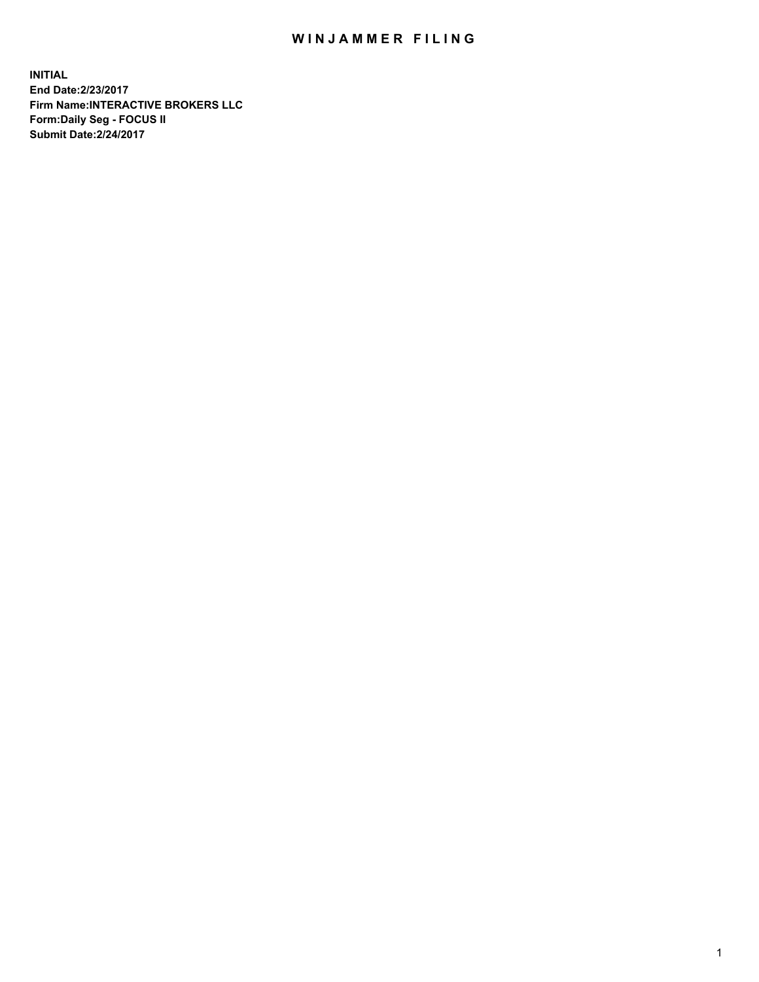## WIN JAMMER FILING

**INITIAL End Date:2/23/2017 Firm Name:INTERACTIVE BROKERS LLC Form:Daily Seg - FOCUS II Submit Date:2/24/2017**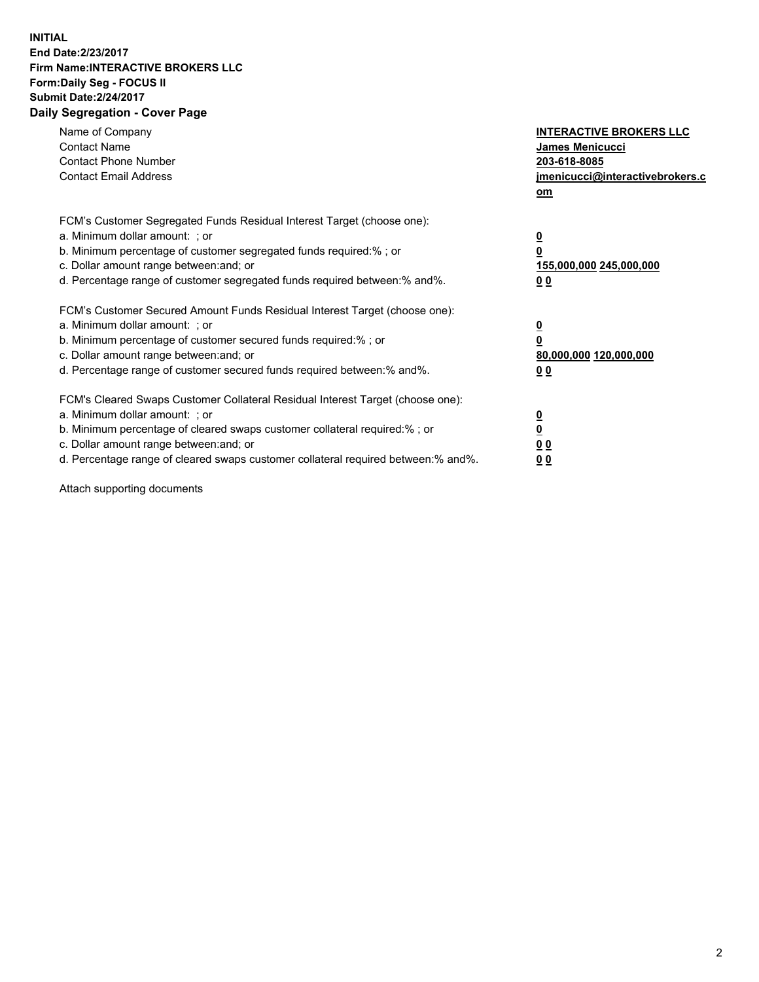## **INITIAL End Date:2/23/2017 Firm Name:INTERACTIVE BROKERS LLC Form:Daily Seg - FOCUS II Submit Date:2/24/2017 Daily Segregation - Cover Page**

| Name of Company<br><b>Contact Name</b><br><b>Contact Phone Number</b><br><b>Contact Email Address</b>                                                                                                                                                                                                                          | <b>INTERACTIVE BROKERS LLC</b><br><b>James Menicucci</b><br>203-618-8085<br>jmenicucci@interactivebrokers.c<br>om |
|--------------------------------------------------------------------------------------------------------------------------------------------------------------------------------------------------------------------------------------------------------------------------------------------------------------------------------|-------------------------------------------------------------------------------------------------------------------|
| FCM's Customer Segregated Funds Residual Interest Target (choose one):<br>a. Minimum dollar amount: ; or<br>b. Minimum percentage of customer segregated funds required:%; or<br>c. Dollar amount range between: and; or<br>d. Percentage range of customer segregated funds required between:% and%.                          | $\overline{\mathbf{0}}$<br>0<br>155,000,000 245,000,000<br>0 <sub>0</sub>                                         |
| FCM's Customer Secured Amount Funds Residual Interest Target (choose one):<br>a. Minimum dollar amount: ; or<br>b. Minimum percentage of customer secured funds required:%; or<br>c. Dollar amount range between: and; or<br>d. Percentage range of customer secured funds required between: % and %.                          | $\overline{\mathbf{0}}$<br>0<br>80,000,000 120,000,000<br>0 <sub>0</sub>                                          |
| FCM's Cleared Swaps Customer Collateral Residual Interest Target (choose one):<br>a. Minimum dollar amount: ; or<br>b. Minimum percentage of cleared swaps customer collateral required:% ; or<br>c. Dollar amount range between: and; or<br>d. Percentage range of cleared swaps customer collateral required between:% and%. | $\overline{\mathbf{0}}$<br>$\overline{\mathbf{0}}$<br>0 <sub>0</sub><br><u>00</u>                                 |

Attach supporting documents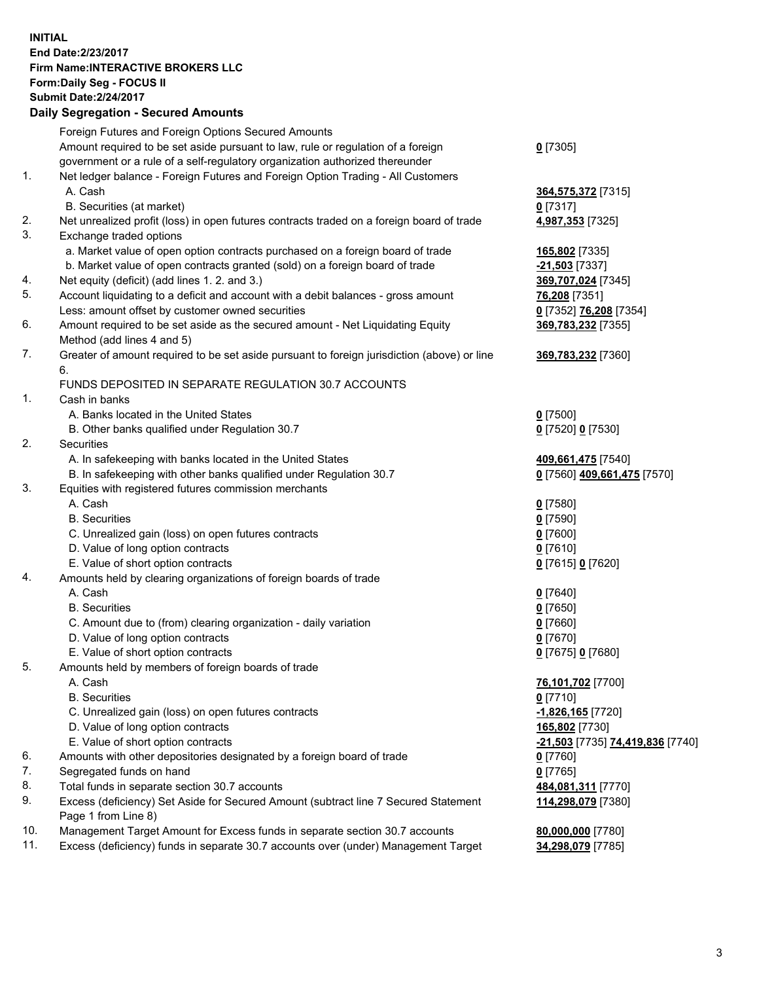## **INITIAL End Date:2/23/2017 Firm Name:INTERACTIVE BROKERS LLC Form:Daily Seg - FOCUS II Submit Date:2/24/2017 Daily Segregation - Secured Amounts**

|     | Foreign Futures and Foreign Options Secured Amounts                                                        |                                  |
|-----|------------------------------------------------------------------------------------------------------------|----------------------------------|
|     | Amount required to be set aside pursuant to law, rule or regulation of a foreign                           | $0$ [7305]                       |
|     | government or a rule of a self-regulatory organization authorized thereunder                               |                                  |
| 1.  | Net ledger balance - Foreign Futures and Foreign Option Trading - All Customers                            |                                  |
|     | A. Cash                                                                                                    | 364,575,372 [7315]               |
|     | B. Securities (at market)                                                                                  | $0$ [7317]                       |
| 2.  | Net unrealized profit (loss) in open futures contracts traded on a foreign board of trade                  | 4,987,353 [7325]                 |
| 3.  | Exchange traded options                                                                                    |                                  |
|     | a. Market value of open option contracts purchased on a foreign board of trade                             | 165,802 [7335]                   |
|     | b. Market value of open contracts granted (sold) on a foreign board of trade                               | <b>-21,503</b> [7337]            |
| 4.  | Net equity (deficit) (add lines 1.2. and 3.)                                                               | 369,707,024 [7345]               |
| 5.  | Account liquidating to a deficit and account with a debit balances - gross amount                          | 76,208 [7351]                    |
|     | Less: amount offset by customer owned securities                                                           | 0 [7352] 76,208 [7354]           |
| 6.  | Amount required to be set aside as the secured amount - Net Liquidating Equity                             | 369,783,232 [7355]               |
|     | Method (add lines 4 and 5)                                                                                 |                                  |
| 7.  | Greater of amount required to be set aside pursuant to foreign jurisdiction (above) or line                | 369,783,232 [7360]               |
|     | 6.                                                                                                         |                                  |
|     | FUNDS DEPOSITED IN SEPARATE REGULATION 30.7 ACCOUNTS                                                       |                                  |
| 1.  | Cash in banks                                                                                              |                                  |
|     | A. Banks located in the United States                                                                      | $0$ [7500]                       |
|     | B. Other banks qualified under Regulation 30.7                                                             | 0 [7520] 0 [7530]                |
| 2.  | Securities                                                                                                 |                                  |
|     | A. In safekeeping with banks located in the United States                                                  | 409,661,475 [7540]               |
|     | B. In safekeeping with other banks qualified under Regulation 30.7                                         | 0 [7560] 409,661,475 [7570]      |
| 3.  | Equities with registered futures commission merchants                                                      |                                  |
|     | A. Cash                                                                                                    | $0$ [7580]                       |
|     | <b>B.</b> Securities                                                                                       | $0$ [7590]                       |
|     | C. Unrealized gain (loss) on open futures contracts                                                        | $0$ [7600]                       |
|     | D. Value of long option contracts                                                                          | $0$ [7610]                       |
|     | E. Value of short option contracts                                                                         | 0 [7615] 0 [7620]                |
| 4.  | Amounts held by clearing organizations of foreign boards of trade                                          |                                  |
|     | A. Cash                                                                                                    | $0$ [7640]                       |
|     | <b>B.</b> Securities                                                                                       | $0$ [7650]                       |
|     | C. Amount due to (from) clearing organization - daily variation                                            | $0$ [7660]                       |
|     | D. Value of long option contracts                                                                          | $0$ [7670]                       |
|     | E. Value of short option contracts                                                                         | 0 [7675] 0 [7680]                |
| 5.  | Amounts held by members of foreign boards of trade                                                         |                                  |
|     | A. Cash                                                                                                    | 76,101,702 [7700]                |
|     | <b>B.</b> Securities                                                                                       | $0$ [7710]                       |
|     | C. Unrealized gain (loss) on open futures contracts                                                        | $-1,826,165$ [7720]              |
|     | D. Value of long option contracts                                                                          | 165,802 [7730]                   |
|     | E. Value of short option contracts                                                                         | -21,503 [7735] 74,419,836 [7740] |
| 6.  | Amounts with other depositories designated by a foreign board of trade                                     | $0$ [7760]                       |
| 7.  | Segregated funds on hand                                                                                   | $0$ [7765]                       |
| 8.  | Total funds in separate section 30.7 accounts                                                              | 484,081,311 [7770]               |
| 9.  | Excess (deficiency) Set Aside for Secured Amount (subtract line 7 Secured Statement<br>Page 1 from Line 8) | 114,298,079 [7380]               |
| 10. | Management Target Amount for Excess funds in separate section 30.7 accounts                                | 80,000,000 [7780]                |
| 11. | Excess (deficiency) funds in separate 30.7 accounts over (under) Management Target                         | 34,298,079 [7785]                |
|     |                                                                                                            |                                  |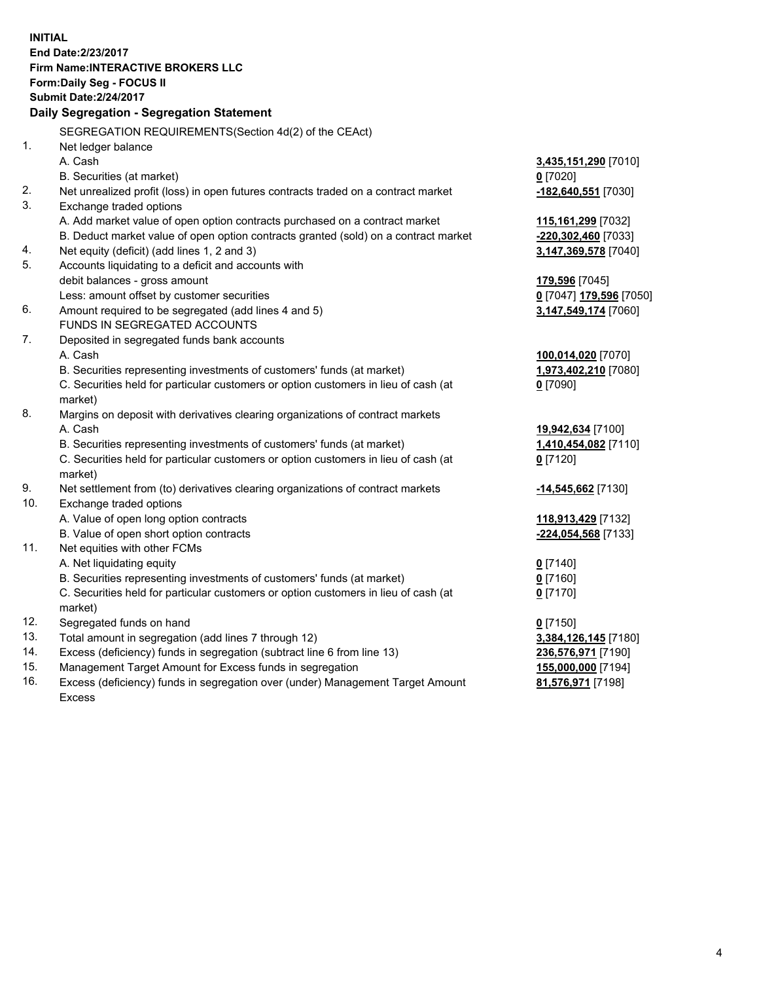**INITIAL End Date:2/23/2017 Firm Name:INTERACTIVE BROKERS LLC Form:Daily Seg - FOCUS II Submit Date:2/24/2017 Daily Segregation - Segregation Statement** SEGREGATION REQUIREMENTS(Section 4d(2) of the CEAct) 1. Net ledger balance A. Cash **3,435,151,290** [7010] B. Securities (at market) **0** [7020] 2. Net unrealized profit (loss) in open futures contracts traded on a contract market **-182,640,551** [7030] 3. Exchange traded options A. Add market value of open option contracts purchased on a contract market **115,161,299** [7032] B. Deduct market value of open option contracts granted (sold) on a contract market **-220,302,460** [7033] 4. Net equity (deficit) (add lines 1, 2 and 3) **3,147,369,578** [7040] 5. Accounts liquidating to a deficit and accounts with debit balances - gross amount **179,596** [7045] Less: amount offset by customer securities **0** [7047] **179,596** [7050] 6. Amount required to be segregated (add lines 4 and 5) **3,147,549,174** [7060] FUNDS IN SEGREGATED ACCOUNTS 7. Deposited in segregated funds bank accounts A. Cash **100,014,020** [7070] B. Securities representing investments of customers' funds (at market) **1,973,402,210** [7080] C. Securities held for particular customers or option customers in lieu of cash (at market) **0** [7090] 8. Margins on deposit with derivatives clearing organizations of contract markets A. Cash **19,942,634** [7100] B. Securities representing investments of customers' funds (at market) **1,410,454,082** [7110] C. Securities held for particular customers or option customers in lieu of cash (at market) **0** [7120] 9. Net settlement from (to) derivatives clearing organizations of contract markets **-14,545,662** [7130] 10. Exchange traded options A. Value of open long option contracts **118,913,429** [7132] B. Value of open short option contracts **-224,054,568** [7133] 11. Net equities with other FCMs A. Net liquidating equity **0** [7140] B. Securities representing investments of customers' funds (at market) **0** [7160] C. Securities held for particular customers or option customers in lieu of cash (at market) **0** [7170] 12. Segregated funds on hand **0** [7150] 13. Total amount in segregation (add lines 7 through 12) **3,384,126,145** [7180] 14. Excess (deficiency) funds in segregation (subtract line 6 from line 13) **236,576,971** [7190] 15. Management Target Amount for Excess funds in segregation **155,000,000** [7194]

16. Excess (deficiency) funds in segregation over (under) Management Target Amount Excess

**81,576,971** [7198]